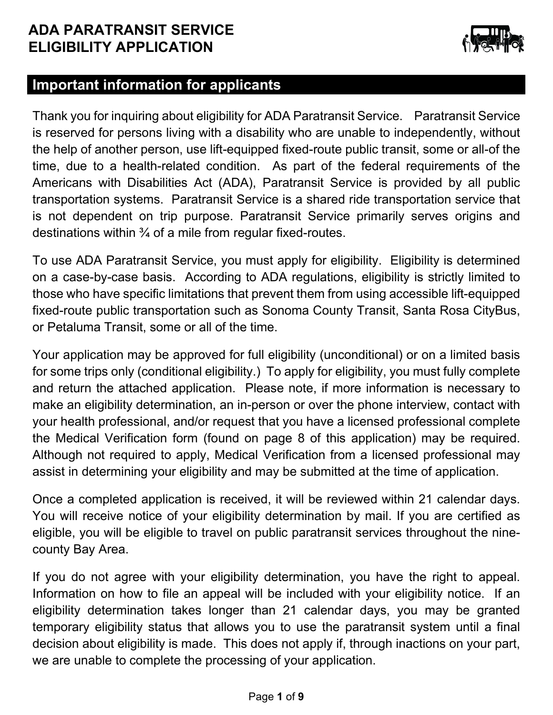

### **Important information for applicants**

Thank you for inquiring about eligibility for ADA Paratransit Service. Paratransit Service is reserved for persons living with a disability who are unable to independently, without the help of another person, use lift-equipped fixed-route public transit, some or all-of the time, due to a health-related condition. As part of the federal requirements of the Americans with Disabilities Act (ADA), Paratransit Service is provided by all public transportation systems. Paratransit Service is a shared ride transportation service that is not dependent on trip purpose. Paratransit Service primarily serves origins and destinations within  $\frac{3}{4}$  of a mile from regular fixed-routes.

To use ADA Paratransit Service, you must apply for eligibility. Eligibility is determined on a case-by-case basis. According to ADA regulations, eligibility is strictly limited to those who have specific limitations that prevent them from using accessible lift-equipped fixed-route public transportation such as Sonoma County Transit, Santa Rosa CityBus, or Petaluma Transit, some or all of the time.

Your application may be approved for full eligibility (unconditional) or on a limited basis for some trips only (conditional eligibility.) To apply for eligibility, you must fully complete and return the attached application. Please note, if more information is necessary to make an eligibility determination, an in-person or over the phone interview, contact with your health professional, and/or request that you have a licensed professional complete the Medical Verification form (found on page 8 of this application) may be required. Although not required to apply, Medical Verification from a licensed professional may assist in determining your eligibility and may be submitted at the time of application.

Once a completed application is received, it will be reviewed within 21 calendar days. You will receive notice of your eligibility determination by mail. If you are certified as eligible, you will be eligible to travel on public paratransit services throughout the ninecounty Bay Area.

If you do not agree with your eligibility determination, you have the right to appeal. Information on how to file an appeal will be included with your eligibility notice. If an eligibility determination takes longer than 21 calendar days, you may be granted temporary eligibility status that allows you to use the paratransit system until a final decision about eligibility is made. This does not apply if, through inactions on your part, we are unable to complete the processing of your application.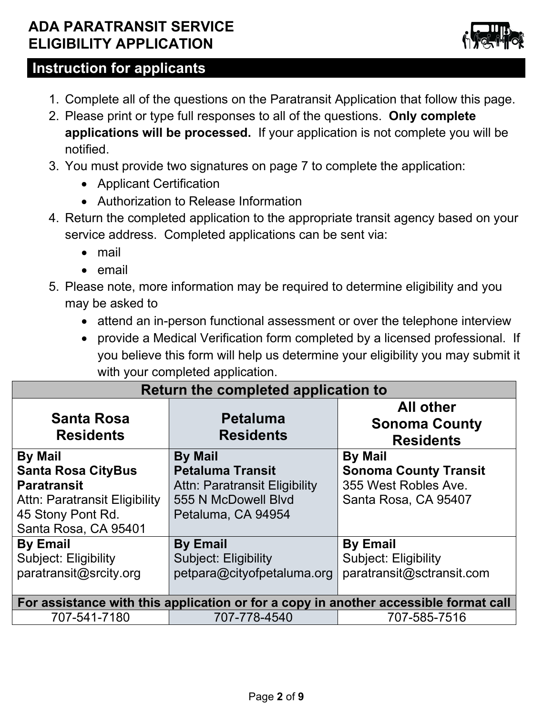

# **Instruction for applicants**

- 1. Complete all of the questions on the Paratransit Application that follow this page.
- 2. Please print or type full responses to all of the questions. **Only complete applications will be processed.** If your application is not complete you will be notified.
- 3. You must provide two signatures on page 7 to complete the application:
	- Applicant Certification
	- Authorization to Release Information
- 4. Return the completed application to the appropriate transit agency based on your service address. Completed applications can be sent via:
	- mail
	- email
- 5. Please note, more information may be required to determine eligibility and you may be asked to
	- attend an in-person functional assessment or over the telephone interview
	- provide a Medical Verification form completed by a licensed professional. If you believe this form will help us determine your eligibility you may submit it with your completed application.

| Return the completed application to                                                                                                             |                                                                                                                         |                                                                                                |  |  |
|-------------------------------------------------------------------------------------------------------------------------------------------------|-------------------------------------------------------------------------------------------------------------------------|------------------------------------------------------------------------------------------------|--|--|
| <b>Santa Rosa</b><br><b>Residents</b>                                                                                                           | <b>All other</b><br><b>Petaluma</b><br><b>Sonoma County</b><br><b>Residents</b><br><b>Residents</b>                     |                                                                                                |  |  |
| <b>By Mail</b><br><b>Santa Rosa CityBus</b><br><b>Paratransit</b><br>Attn: Paratransit Eligibility<br>45 Stony Pont Rd.<br>Santa Rosa, CA 95401 | <b>By Mail</b><br><b>Petaluma Transit</b><br>Attn: Paratransit Eligibility<br>555 N McDowell Blyd<br>Petaluma, CA 94954 | <b>By Mail</b><br><b>Sonoma County Transit</b><br>355 West Robles Ave.<br>Santa Rosa, CA 95407 |  |  |
| <b>By Email</b><br><b>Subject: Eligibility</b><br>paratransit@srcity.org                                                                        | <b>By Email</b><br><b>Subject: Eligibility</b><br>petpara@cityofpetaluma.org                                            | <b>By Email</b><br><b>Subject: Eligibility</b><br>paratransit@sctransit.com                    |  |  |
|                                                                                                                                                 |                                                                                                                         | For assistance with this application or for a copy in another accessible format call           |  |  |
| 707-541-7180                                                                                                                                    | 707-778-4540                                                                                                            | 707-585-7516                                                                                   |  |  |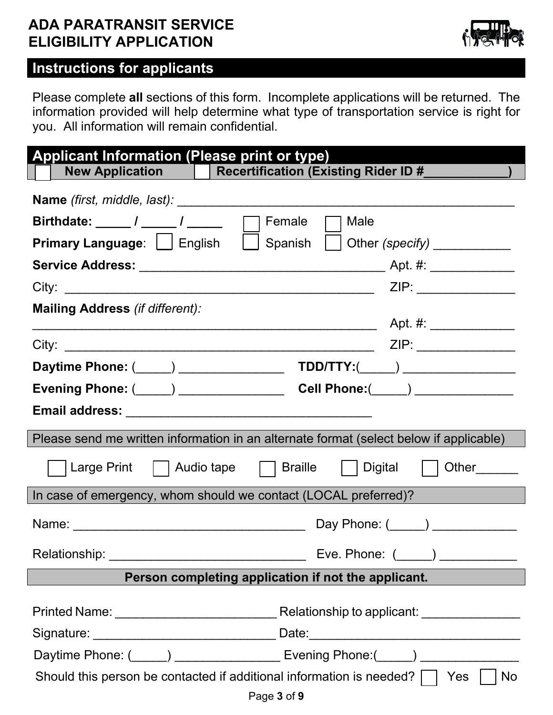

# **Instructions for applicants**

Please complete **all** sections of this form. Incomplete applications will be returned. The information provided will help determine what type of transportation service is right for you. All information will remain confidential.

| <b>Applicant Information (Please print or type)</b>                                                            |                                                                                  |
|----------------------------------------------------------------------------------------------------------------|----------------------------------------------------------------------------------|
| New Application   Recertification (Existing Rider ID #____                                                     |                                                                                  |
|                                                                                                                |                                                                                  |
| Birthdate: _____ / _____ / _____                                                                               | Female<br>Male                                                                   |
| <b>Primary Language:</b> $\Box$ English                                                                        | $\Box$ Spanish<br>Other (specify) ____________                                   |
|                                                                                                                |                                                                                  |
|                                                                                                                | ZIP: ________________                                                            |
| Mailing Address (if different):                                                                                | Apt. #: ________________<br><u> 1989 - Johann Barbara, martxa a</u>              |
|                                                                                                                |                                                                                  |
|                                                                                                                |                                                                                  |
| Evening Phone: (_____) _______________                                                                         | Cell Phone:(_____) _____________                                                 |
|                                                                                                                |                                                                                  |
| Please send me written information in an alternate format (select below if applicable)                         |                                                                                  |
|                                                                                                                | Large Print     Audio tape     Braille     Digital     Other______               |
| In case of emergency, whom should we contact (LOCAL preferred)?                                                |                                                                                  |
|                                                                                                                | Day Phone: (_____) ____________                                                  |
| Relationship:                                                                                                  | Eve. Phone: ( )                                                                  |
|                                                                                                                | Person completing application if not the applicant.                              |
|                                                                                                                |                                                                                  |
|                                                                                                                | Signature: ___________________________________ Date:____________________________ |
| Daytime Phone: (Comparison Library Comparison Library Comparison Library Comparison Library Comparison Library |                                                                                  |
| Should this person be contacted if additional information is needed? $\Box$<br>Page 3 of 9                     | No<br>Yes                                                                        |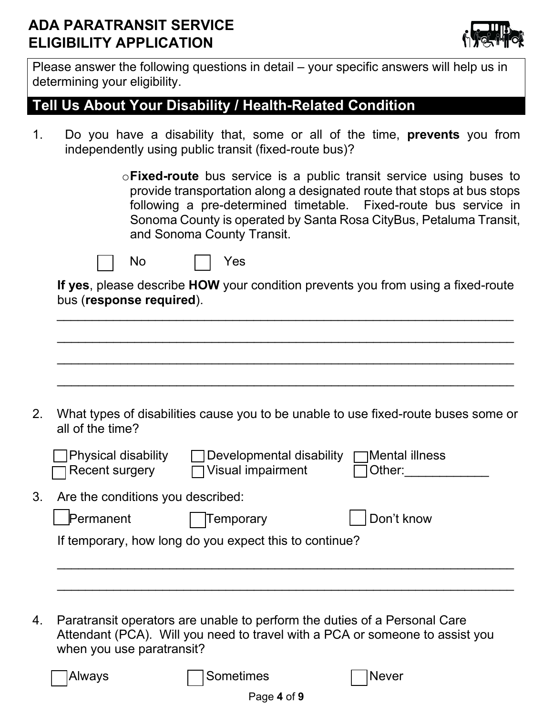

Please answer the following questions in detail – your specific answers will help us in determining your eligibility.

## **Tell Us About Your Disability / Health-Related Condition**

1. Do you have a disability that, some or all of the time, **prevents** you from independently using public transit (fixed-route bus)?

| $\circ$ Fixed-route bus service is a public transit service using buses to |  |  |  |
|----------------------------------------------------------------------------|--|--|--|
| provide transportation along a designated route that stops at bus stops    |  |  |  |
| following a pre-determined timetable. Fixed-route bus service in           |  |  |  |
| Sonoma County is operated by Santa Rosa CityBus, Petaluma Transit,         |  |  |  |
| and Sonoma County Transit.                                                 |  |  |  |



**If yes**, please describe **HOW** your condition prevents you from using a fixed-route bus (**response required**).

\_\_\_\_\_\_\_\_\_\_\_\_\_\_\_\_\_\_\_\_\_\_\_\_\_\_\_\_\_\_\_\_\_\_\_\_\_\_\_\_\_\_\_\_\_\_\_\_\_\_\_\_\_\_\_\_\_\_\_\_\_\_\_\_\_

| 2. | all of the time?                                    |                                                        | What types of disabilities cause you to be unable to use fixed-route buses some or |
|----|-----------------------------------------------------|--------------------------------------------------------|------------------------------------------------------------------------------------|
|    | <b>Physical disability</b><br><b>Recent surgery</b> | Developmental disability<br><b>Visual impairment</b>   | ]Mental illness<br>Other:                                                          |
| 3. | Are the conditions you described:                   |                                                        |                                                                                    |
|    | Permanent                                           | <b>Temporary</b>                                       | Don't know                                                                         |
|    |                                                     | If temporary, how long do you expect this to continue? |                                                                                    |

4. Paratransit operators are unable to perform the duties of a Personal Care Attendant (PCA). Will you need to travel with a PCA or someone to assist you when you use paratransit?

Always **Sometimes** Never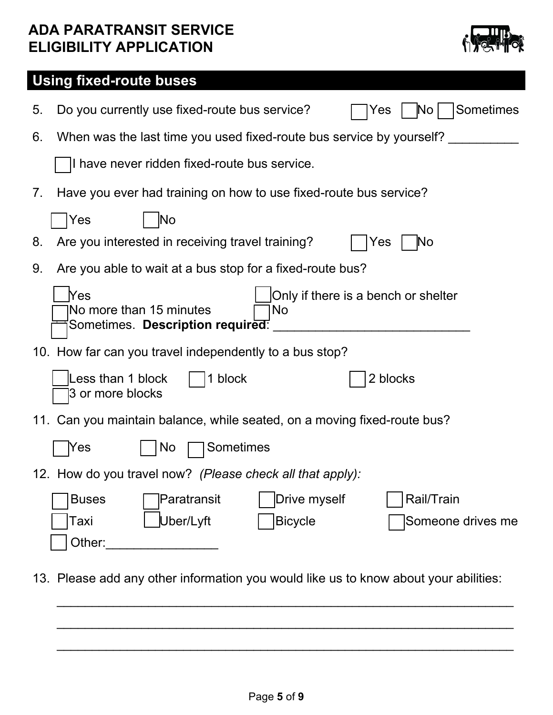

# **Using fixed-route buses**

| 5. | Sometimes<br>Do you currently use fixed-route bus service?<br>$\overline{\mathsf{No}}$<br>Yes                                    |
|----|----------------------------------------------------------------------------------------------------------------------------------|
| 6. | When was the last time you used fixed-route bus service by yourself?                                                             |
|    | I have never ridden fixed-route bus service.                                                                                     |
| 7. | Have you ever had training on how to use fixed-route bus service?                                                                |
|    | <b>No</b><br>Yes                                                                                                                 |
| 8. | Are you interested in receiving travel training?<br>Yes<br>$\mathbb N$ o                                                         |
| 9. | Are you able to wait at a bus stop for a fixed-route bus?                                                                        |
|    | Yes<br>Only if there is a bench or shelter<br>No more than 15 minutes<br>No<br>Sometimes. Description required:                  |
|    | 10. How far can you travel independently to a bus stop?                                                                          |
|    | Less than 1 block<br>1 block<br>2 blocks<br>3 or more blocks                                                                     |
|    | 11. Can you maintain balance, while seated, on a moving fixed-route bus?                                                         |
|    | Sometimes<br>Yes<br>No                                                                                                           |
|    | 12. How do you travel now? (Please check all that apply):                                                                        |
|    | Rail/Train<br>Drive myself<br><b>Buses</b><br> Paratransit<br>Uber/Lyft<br><b>Bicycle</b><br>Taxi<br>Someone drives me<br>Other: |

13. Please add any other information you would like us to know about your abilities:

\_\_\_\_\_\_\_\_\_\_\_\_\_\_\_\_\_\_\_\_\_\_\_\_\_\_\_\_\_\_\_\_\_\_\_\_\_\_\_\_\_\_\_\_\_\_\_\_\_\_\_\_\_\_\_\_\_\_\_\_\_\_\_\_\_

 $\overline{\phantom{a}}$  , and the contribution of the contribution of the contribution of the contribution of the contribution of the contribution of the contribution of the contribution of the contribution of the contribution of the

 $\overline{\phantom{a}}$  , and the contribution of the contribution of the contribution of the contribution of the contribution of the contribution of the contribution of the contribution of the contribution of the contribution of the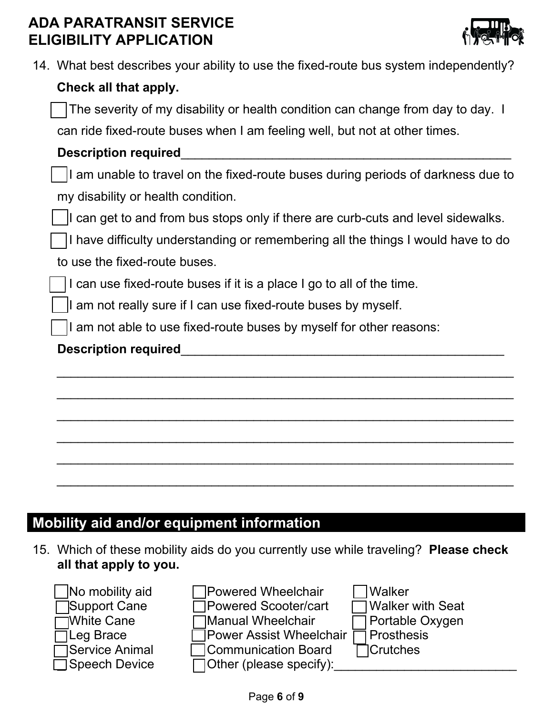

| 14. What best describes your ability to use the fixed-route bus system independently?             |  |
|---------------------------------------------------------------------------------------------------|--|
| Check all that apply.                                                                             |  |
| The severity of my disability or health condition can change from day to day. I                   |  |
| can ride fixed-route buses when I am feeling well, but not at other times.                        |  |
|                                                                                                   |  |
| <b>Description required</b>                                                                       |  |
| $\vert\;\;\,\vert$ am unable to travel on the fixed-route buses during periods of darkness due to |  |
| my disability or health condition.                                                                |  |
| I can get to and from bus stops only if there are curb-cuts and level sidewalks.                  |  |

I have difficulty understanding or remembering all the things I would have to do

\_\_\_\_\_\_\_\_\_\_\_\_\_\_\_\_\_\_\_\_\_\_\_\_\_\_\_\_\_\_\_\_\_\_\_\_\_\_\_\_\_\_\_\_\_\_\_\_\_\_\_\_\_\_\_\_\_\_\_\_\_\_\_\_\_

\_\_\_\_\_\_\_\_\_\_\_\_\_\_\_\_\_\_\_\_\_\_\_\_\_\_\_\_\_\_\_\_\_\_\_\_\_\_\_\_\_\_\_\_\_\_\_\_\_\_\_\_\_\_\_\_\_\_\_\_\_\_\_\_\_

 $\overline{\phantom{a}}$  , and the contribution of the contribution of the contribution of the contribution of the contribution of the contribution of the contribution of the contribution of the contribution of the contribution of the

\_\_\_\_\_\_\_\_\_\_\_\_\_\_\_\_\_\_\_\_\_\_\_\_\_\_\_\_\_\_\_\_\_\_\_\_\_\_\_\_\_\_\_\_\_\_\_\_\_\_\_\_\_\_\_\_\_\_\_\_\_\_\_\_\_

 $\overline{\phantom{a}}$  , and the contribution of the contribution of the contribution of the contribution of the contribution of the contribution of the contribution of the contribution of the contribution of the contribution of the

\_\_\_\_\_\_\_\_\_\_\_\_\_\_\_\_\_\_\_\_\_\_\_\_\_\_\_\_\_\_\_\_\_\_\_\_\_\_\_\_\_\_\_\_\_\_\_\_\_\_\_\_\_\_\_\_\_\_\_\_\_\_\_\_\_

to use the fixed-route buses.

I can use fixed-route buses if it is a place I go to all of the time.

I am not really sure if I can use fixed-route buses by myself.

I am not able to use fixed-route buses by myself for other reasons:

#### Description required

# **Mobility aid and/or equipment information**

15. Which of these mobility aids do you currently use while traveling? **Please check all that apply to you.**



 $\sqrt{\frac{1}{100}}$  No mobility aid  $\sqrt{\frac{1}{100}}$  Powered Wheelchair  $\sqrt{\frac{1}{100}}$  Walker Bupport Cane Powered Scooter/cart Powell Walker with Seat White Cane Manual Wheelchair Portable Oxygen Leg Brace  $\Box$  Power Assist Wheelchair  $\Box$  Prosthesis Service Animal □ ○ Communication Board □ ○ Crutches

Speech Device  $\Box$  Other (please specify):

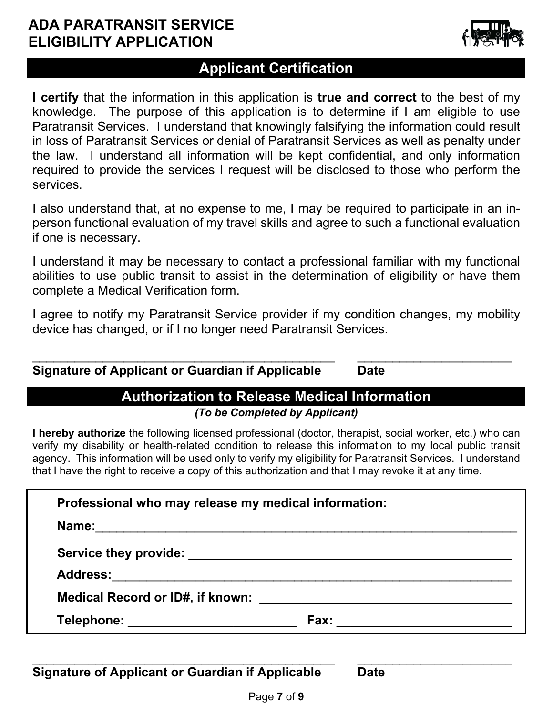

### **Applicant Certification**

**I certify** that the information in this application is **true and correct** to the best of my knowledge. The purpose of this application is to determine if I am eligible to use Paratransit Services. I understand that knowingly falsifying the information could result in loss of Paratransit Services or denial of Paratransit Services as well as penalty under the law. I understand all information will be kept confidential, and only information required to provide the services I request will be disclosed to those who perform the services.

I also understand that, at no expense to me, I may be required to participate in an inperson functional evaluation of my travel skills and agree to such a functional evaluation if one is necessary.

I understand it may be necessary to contact a professional familiar with my functional abilities to use public transit to assist in the determination of eligibility or have them complete a Medical Verification form.

I agree to notify my Paratransit Service provider if my condition changes, my mobility device has changed, or if I no longer need Paratransit Services.

| <b>Signature of Applicant or Guardian if Applicable</b> | Date |  |
|---------------------------------------------------------|------|--|

# **Authorization to Release Medical Information**

*(To be Completed by Applicant)*

**I hereby authorize** the following licensed professional (doctor, therapist, social worker, etc.) who can verify my disability or health-related condition to release this information to my local public transit agency. This information will be used only to verify my eligibility for Paratransit Services. I understand that I have the right to receive a copy of this authorization and that I may revoke it at any time.

| Professional who may release my medical information: |      |
|------------------------------------------------------|------|
| Name:                                                |      |
|                                                      |      |
|                                                      |      |
| Medical Record or ID#, if known:                     |      |
| Telephone:                                           | Fax: |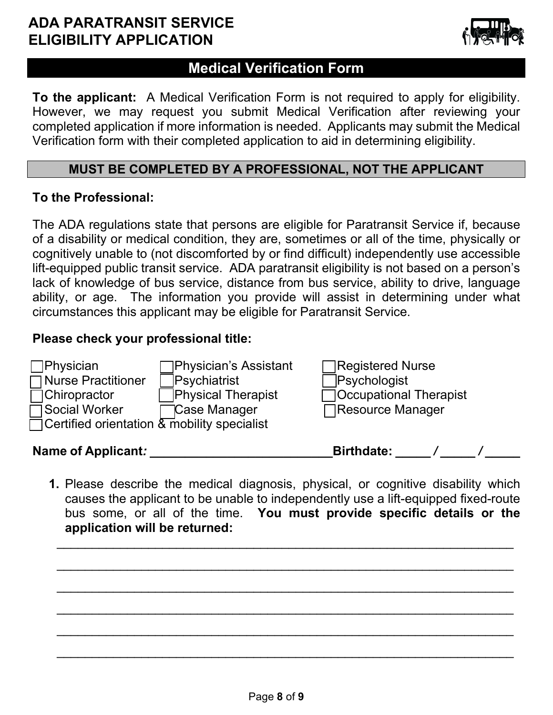

### **Medical Verification Form**

**To the applicant:** A Medical Verification Form is not required to apply for eligibility. However, we may request you submit Medical Verification after reviewing your completed application if more information is needed. Applicants may submit the Medical Verification form with their completed application to aid in determining eligibility.

#### **MUST BE COMPLETED BY A PROFESSIONAL, NOT THE APPLICANT**

#### **To the Professional:**

The ADA regulations state that persons are eligible for Paratransit Service if, because of a disability or medical condition, they are, sometimes or all of the time, physically or cognitively unable to (not discomforted by or find difficult) independently use accessible lift-equipped public transit service. ADA paratransit eligibility is not based on a person's lack of knowledge of bus service, distance from bus service, ability to drive, language ability, or age. The information you provide will assist in determining under what circumstances this applicant may be eligible for Paratransit Service.

#### **Please check your professional title:**

| Name of Applicant:                                    |                           | <b>Birthdate:</b>             |  |  |
|-------------------------------------------------------|---------------------------|-------------------------------|--|--|
| $\Box$ Certified orientation $\&$ mobility specialist |                           |                               |  |  |
| <b>Social Worker</b>                                  | <b>Case Manager</b>       | <b>□Resource Manager</b>      |  |  |
| $\Box$ Chiropractor                                   | <b>Physical Therapist</b> | $\Box$ Occupational Therapist |  |  |
| $\Box$ Nurse Practitioner                             | Psychiatrist              | Psychologist                  |  |  |
| $\Box$ Physician                                      | ∏Physician's Assistant    | Registered Nurse              |  |  |

**1.** Please describe the medical diagnosis, physical, or cognitive disability which causes the applicant to be unable to independently use a lift-equipped fixed-route bus some, or all of the time. **You must provide specific details or the application will be returned:**

 $\overline{\phantom{a}}$  , and the contribution of the contribution of the contribution of the contribution of the contribution of the contribution of the contribution of the contribution of the contribution of the contribution of the